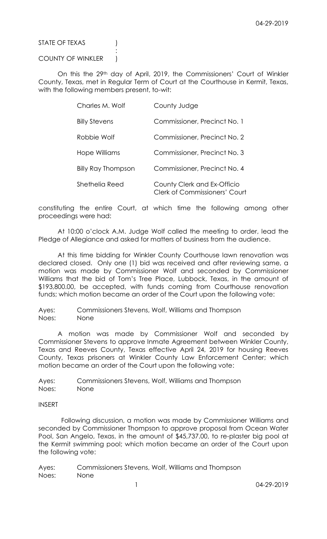STATE OF TEXAS (1)

## COUNTY OF WINKLER )

:

On this the 29th day of April, 2019, the Commissioners' Court of Winkler County, Texas, met in Regular Term of Court at the Courthouse in Kermit, Texas, with the following members present, to-wit:

| Charles M. Wolf      | County Judge                                                        |
|----------------------|---------------------------------------------------------------------|
| <b>Billy Stevens</b> | Commissioner, Precinct No. 1                                        |
| Robbie Wolf          | Commissioner, Precinct No. 2                                        |
| Hope Williams        | Commissioner, Precinct No. 3                                        |
| Billy Ray Thompson   | Commissioner, Precinct No. 4                                        |
| Shethelia Reed       | County Clerk and Ex-Officio<br><b>Clerk of Commissioners' Court</b> |

constituting the entire Court, at which time the following among other proceedings were had:

At 10:00 o'clock A.M. Judge Wolf called the meeting to order, lead the Pledge of Allegiance and asked for matters of business from the audience.

At this time bidding for Winkler County Courthouse lawn renovation was declared closed. Only one (1) bid was received and after reviewing same, a motion was made by Commissioner Wolf and seconded by Commissioner Williams that the bid of Tom's Tree Place, Lubbock, Texas, in the amount of \$193,800.00, be accepted, with funds coming from Courthouse renovation funds; which motion became an order of the Court upon the following vote:

Ayes: Commissioners Stevens, Wolf, Williams and Thompson Noes: None

A motion was made by Commissioner Wolf and seconded by Commissioner Stevens to approve Inmate Agreement between Winkler County, Texas and Reeves County, Texas effective April 24, 2019 for housing Reeves County, Texas prisoners at Winkler County Law Enforcement Center; which motion became an order of the Court upon the following vote:

Ayes: Commissioners Stevens, Wolf, Williams and Thompson Noes: None

## INSERT

 Following discussion, a motion was made by Commissioner Williams and seconded by Commissioner Thompson to approve proposal from Ocean Water Pool, San Angelo, Texas, in the amount of \$45,737.00, to re-plaster big pool at the Kermit swimming pool; which motion became an order of the Court upon the following vote:

Ayes: Commissioners Stevens, Wolf, Williams and Thompson Noes: None